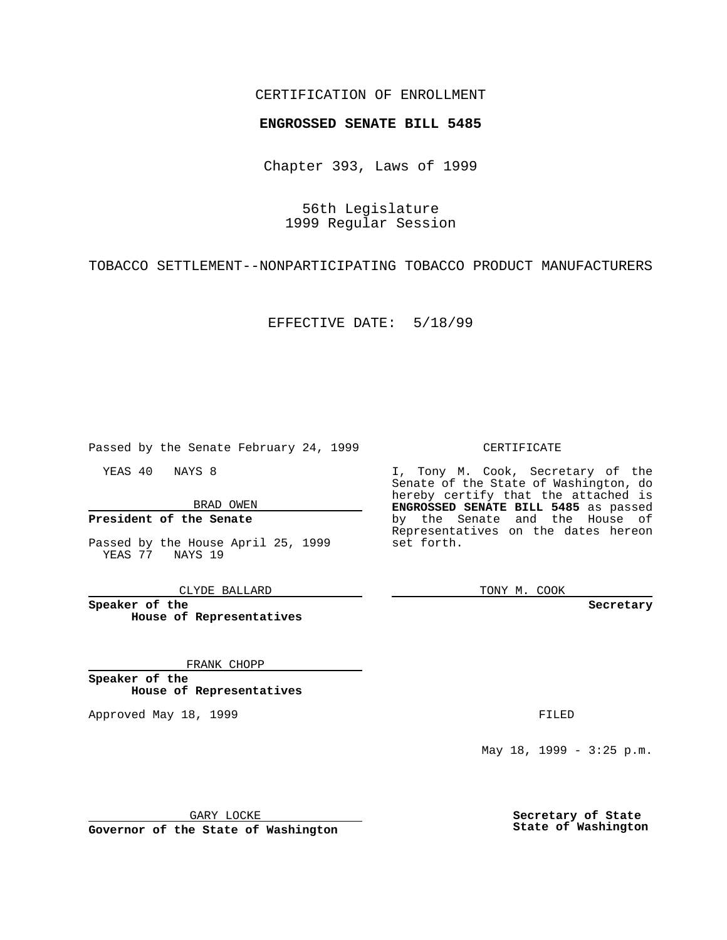## CERTIFICATION OF ENROLLMENT

# **ENGROSSED SENATE BILL 5485**

Chapter 393, Laws of 1999

56th Legislature 1999 Regular Session

TOBACCO SETTLEMENT--NONPARTICIPATING TOBACCO PRODUCT MANUFACTURERS

EFFECTIVE DATE: 5/18/99

Passed by the Senate February 24, 1999

YEAS 40 NAYS 8

BRAD OWEN

### **President of the Senate**

Passed by the House April 25, 1999 YEAS 77 NAYS 19

CLYDE BALLARD

**Speaker of the House of Representatives**

FRANK CHOPP

**Speaker of the House of Representatives**

Approved May 18, 1999 **FILED** 

#### CERTIFICATE

I, Tony M. Cook, Secretary of the Senate of the State of Washington, do hereby certify that the attached is **ENGROSSED SENATE BILL 5485** as passed by the Senate and the House of Representatives on the dates hereon set forth.

TONY M. COOK

**Secretary**

May  $18$ ,  $1999 - 3:25$  p.m.

GARY LOCKE

**Governor of the State of Washington**

**Secretary of State State of Washington**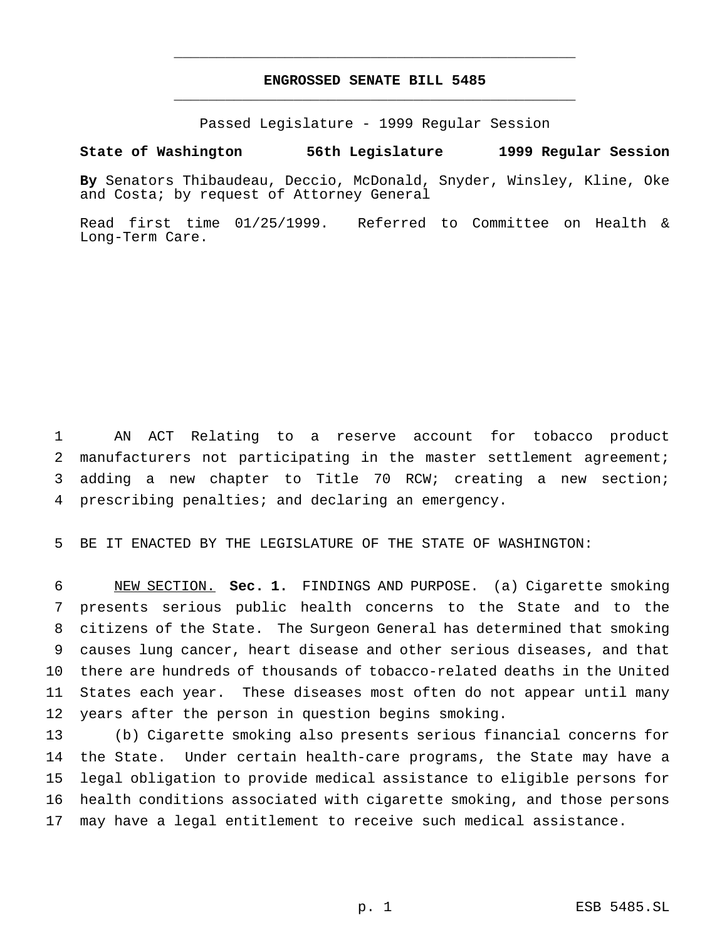# **ENGROSSED SENATE BILL 5485** \_\_\_\_\_\_\_\_\_\_\_\_\_\_\_\_\_\_\_\_\_\_\_\_\_\_\_\_\_\_\_\_\_\_\_\_\_\_\_\_\_\_\_\_\_\_\_

\_\_\_\_\_\_\_\_\_\_\_\_\_\_\_\_\_\_\_\_\_\_\_\_\_\_\_\_\_\_\_\_\_\_\_\_\_\_\_\_\_\_\_\_\_\_\_

Passed Legislature - 1999 Regular Session

### **State of Washington 56th Legislature 1999 Regular Session**

**By** Senators Thibaudeau, Deccio, McDonald, Snyder, Winsley, Kline, Oke and Costa; by request of Attorney General

Read first time 01/25/1999. Referred to Committee on Health & Long-Term Care.

 AN ACT Relating to a reserve account for tobacco product manufacturers not participating in the master settlement agreement; adding a new chapter to Title 70 RCW; creating a new section; prescribing penalties; and declaring an emergency.

BE IT ENACTED BY THE LEGISLATURE OF THE STATE OF WASHINGTON:

 NEW SECTION. **Sec. 1.** FINDINGS AND PURPOSE. (a) Cigarette smoking presents serious public health concerns to the State and to the citizens of the State. The Surgeon General has determined that smoking causes lung cancer, heart disease and other serious diseases, and that there are hundreds of thousands of tobacco-related deaths in the United States each year. These diseases most often do not appear until many years after the person in question begins smoking.

 (b) Cigarette smoking also presents serious financial concerns for the State. Under certain health-care programs, the State may have a legal obligation to provide medical assistance to eligible persons for health conditions associated with cigarette smoking, and those persons may have a legal entitlement to receive such medical assistance.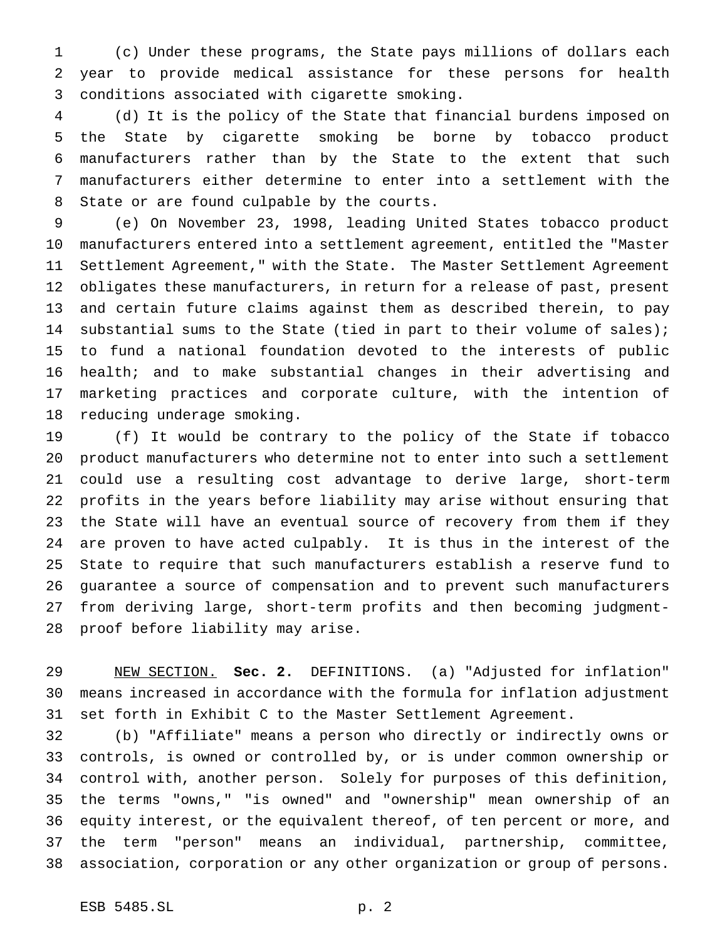(c) Under these programs, the State pays millions of dollars each year to provide medical assistance for these persons for health conditions associated with cigarette smoking.

 (d) It is the policy of the State that financial burdens imposed on the State by cigarette smoking be borne by tobacco product manufacturers rather than by the State to the extent that such manufacturers either determine to enter into a settlement with the State or are found culpable by the courts.

 (e) On November 23, 1998, leading United States tobacco product manufacturers entered into a settlement agreement, entitled the "Master Settlement Agreement," with the State. The Master Settlement Agreement obligates these manufacturers, in return for a release of past, present and certain future claims against them as described therein, to pay substantial sums to the State (tied in part to their volume of sales); to fund a national foundation devoted to the interests of public health; and to make substantial changes in their advertising and marketing practices and corporate culture, with the intention of reducing underage smoking.

 (f) It would be contrary to the policy of the State if tobacco product manufacturers who determine not to enter into such a settlement could use a resulting cost advantage to derive large, short-term profits in the years before liability may arise without ensuring that the State will have an eventual source of recovery from them if they are proven to have acted culpably. It is thus in the interest of the State to require that such manufacturers establish a reserve fund to guarantee a source of compensation and to prevent such manufacturers from deriving large, short-term profits and then becoming judgment-proof before liability may arise.

 NEW SECTION. **Sec. 2.** DEFINITIONS. (a) "Adjusted for inflation" means increased in accordance with the formula for inflation adjustment set forth in Exhibit C to the Master Settlement Agreement.

 (b) "Affiliate" means a person who directly or indirectly owns or controls, is owned or controlled by, or is under common ownership or control with, another person. Solely for purposes of this definition, the terms "owns," "is owned" and "ownership" mean ownership of an equity interest, or the equivalent thereof, of ten percent or more, and the term "person" means an individual, partnership, committee, association, corporation or any other organization or group of persons.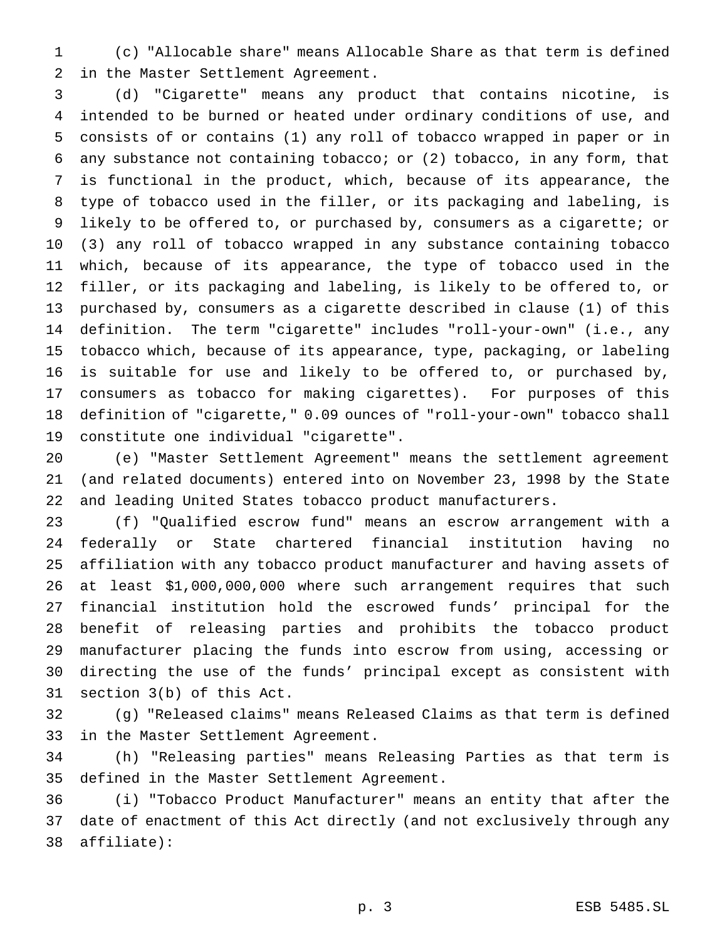(c) "Allocable share" means Allocable Share as that term is defined in the Master Settlement Agreement.

 (d) "Cigarette" means any product that contains nicotine, is intended to be burned or heated under ordinary conditions of use, and consists of or contains (1) any roll of tobacco wrapped in paper or in any substance not containing tobacco; or (2) tobacco, in any form, that is functional in the product, which, because of its appearance, the type of tobacco used in the filler, or its packaging and labeling, is likely to be offered to, or purchased by, consumers as a cigarette; or (3) any roll of tobacco wrapped in any substance containing tobacco which, because of its appearance, the type of tobacco used in the filler, or its packaging and labeling, is likely to be offered to, or purchased by, consumers as a cigarette described in clause (1) of this definition. The term "cigarette" includes "roll-your-own" (i.e., any tobacco which, because of its appearance, type, packaging, or labeling is suitable for use and likely to be offered to, or purchased by, consumers as tobacco for making cigarettes). For purposes of this definition of "cigarette," 0.09 ounces of "roll-your-own" tobacco shall constitute one individual "cigarette".

 (e) "Master Settlement Agreement" means the settlement agreement (and related documents) entered into on November 23, 1998 by the State and leading United States tobacco product manufacturers.

 (f) "Qualified escrow fund" means an escrow arrangement with a federally or State chartered financial institution having no affiliation with any tobacco product manufacturer and having assets of at least \$1,000,000,000 where such arrangement requires that such financial institution hold the escrowed funds' principal for the benefit of releasing parties and prohibits the tobacco product manufacturer placing the funds into escrow from using, accessing or directing the use of the funds' principal except as consistent with section 3(b) of this Act.

 (g) "Released claims" means Released Claims as that term is defined in the Master Settlement Agreement.

 (h) "Releasing parties" means Releasing Parties as that term is defined in the Master Settlement Agreement.

 (i) "Tobacco Product Manufacturer" means an entity that after the date of enactment of this Act directly (and not exclusively through any affiliate):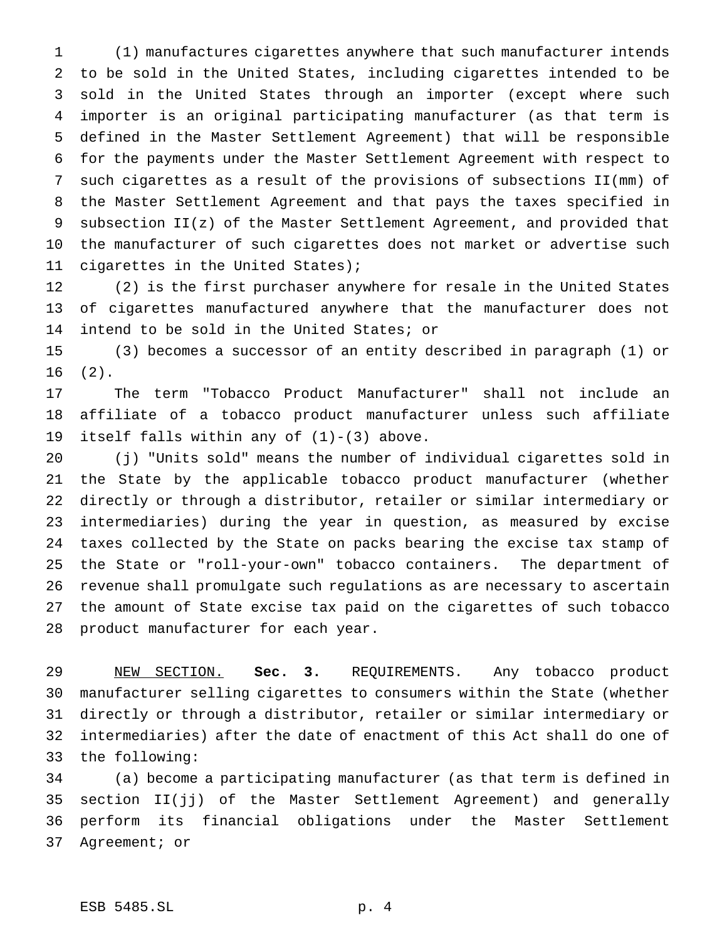(1) manufactures cigarettes anywhere that such manufacturer intends to be sold in the United States, including cigarettes intended to be sold in the United States through an importer (except where such importer is an original participating manufacturer (as that term is defined in the Master Settlement Agreement) that will be responsible for the payments under the Master Settlement Agreement with respect to such cigarettes as a result of the provisions of subsections II(mm) of the Master Settlement Agreement and that pays the taxes specified in subsection II(z) of the Master Settlement Agreement, and provided that the manufacturer of such cigarettes does not market or advertise such cigarettes in the United States);

 (2) is the first purchaser anywhere for resale in the United States of cigarettes manufactured anywhere that the manufacturer does not intend to be sold in the United States; or

 (3) becomes a successor of an entity described in paragraph (1) or (2).

 The term "Tobacco Product Manufacturer" shall not include an affiliate of a tobacco product manufacturer unless such affiliate itself falls within any of (1)-(3) above.

 (j) "Units sold" means the number of individual cigarettes sold in the State by the applicable tobacco product manufacturer (whether directly or through a distributor, retailer or similar intermediary or intermediaries) during the year in question, as measured by excise taxes collected by the State on packs bearing the excise tax stamp of the State or "roll-your-own" tobacco containers. The department of revenue shall promulgate such regulations as are necessary to ascertain the amount of State excise tax paid on the cigarettes of such tobacco product manufacturer for each year.

 NEW SECTION. **Sec. 3.** REQUIREMENTS. Any tobacco product manufacturer selling cigarettes to consumers within the State (whether directly or through a distributor, retailer or similar intermediary or intermediaries) after the date of enactment of this Act shall do one of the following:

 (a) become a participating manufacturer (as that term is defined in section II(jj) of the Master Settlement Agreement) and generally perform its financial obligations under the Master Settlement Agreement; or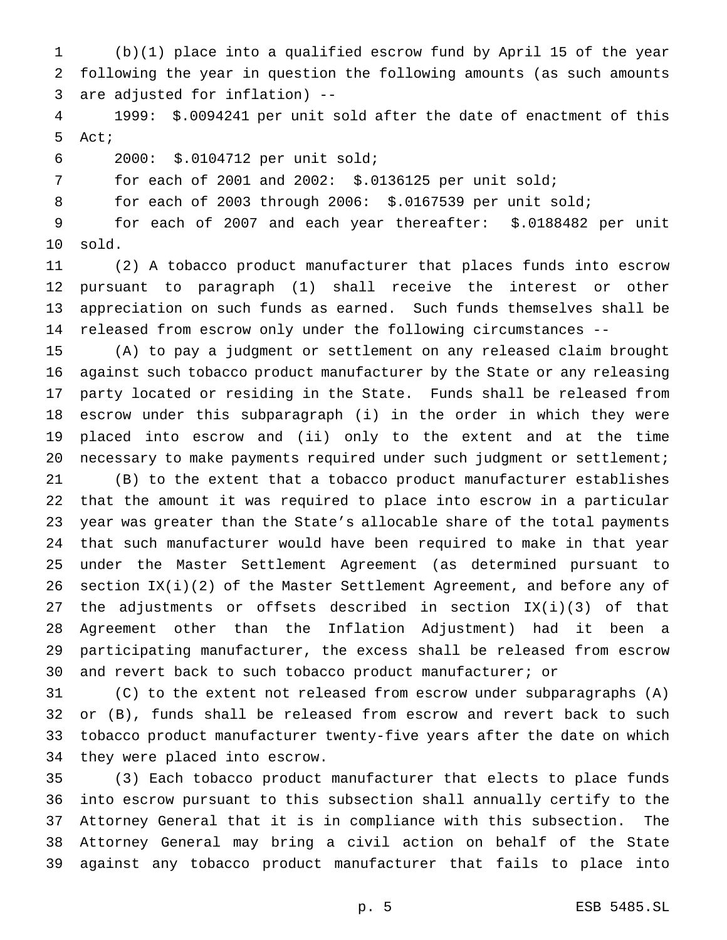(b)(1) place into a qualified escrow fund by April 15 of the year following the year in question the following amounts (as such amounts are adjusted for inflation) --

 1999: \$.0094241 per unit sold after the date of enactment of this Act;

2000: \$.0104712 per unit sold;

for each of 2001 and 2002: \$.0136125 per unit sold;

for each of 2003 through 2006: \$.0167539 per unit sold;

 for each of 2007 and each year thereafter: \$.0188482 per unit sold.

 (2) A tobacco product manufacturer that places funds into escrow pursuant to paragraph (1) shall receive the interest or other appreciation on such funds as earned. Such funds themselves shall be released from escrow only under the following circumstances --

 (A) to pay a judgment or settlement on any released claim brought against such tobacco product manufacturer by the State or any releasing party located or residing in the State. Funds shall be released from escrow under this subparagraph (i) in the order in which they were placed into escrow and (ii) only to the extent and at the time 20 necessary to make payments required under such judgment or settlement;

 (B) to the extent that a tobacco product manufacturer establishes that the amount it was required to place into escrow in a particular year was greater than the State's allocable share of the total payments that such manufacturer would have been required to make in that year under the Master Settlement Agreement (as determined pursuant to section IX(i)(2) of the Master Settlement Agreement, and before any of the adjustments or offsets described in section IX(i)(3) of that Agreement other than the Inflation Adjustment) had it been a participating manufacturer, the excess shall be released from escrow and revert back to such tobacco product manufacturer; or

 (C) to the extent not released from escrow under subparagraphs (A) or (B), funds shall be released from escrow and revert back to such tobacco product manufacturer twenty-five years after the date on which they were placed into escrow.

 (3) Each tobacco product manufacturer that elects to place funds into escrow pursuant to this subsection shall annually certify to the Attorney General that it is in compliance with this subsection. The Attorney General may bring a civil action on behalf of the State against any tobacco product manufacturer that fails to place into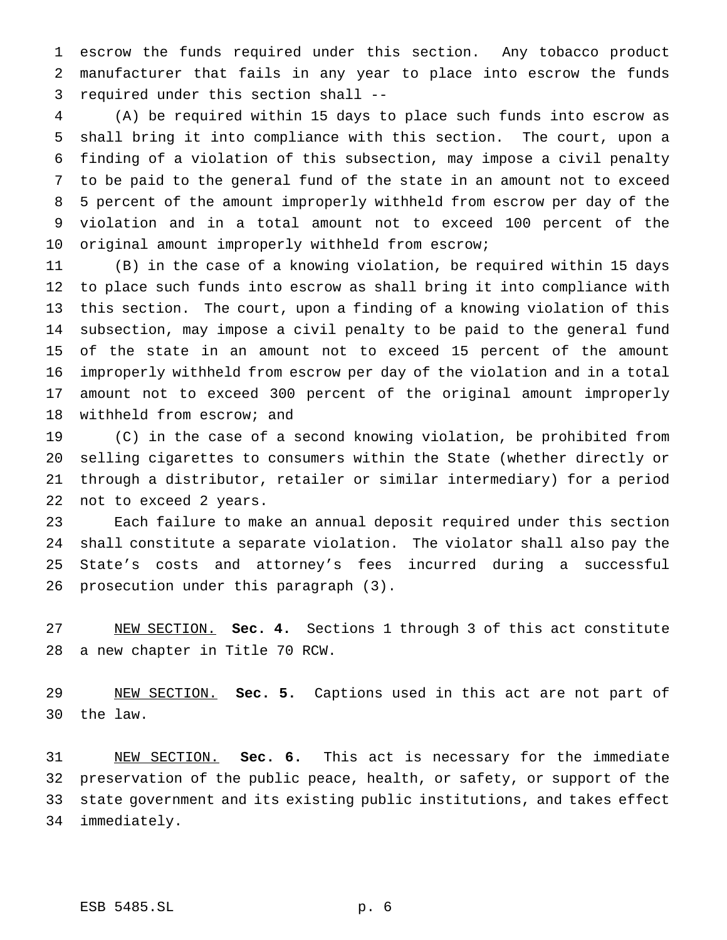escrow the funds required under this section. Any tobacco product manufacturer that fails in any year to place into escrow the funds required under this section shall --

 (A) be required within 15 days to place such funds into escrow as shall bring it into compliance with this section. The court, upon a finding of a violation of this subsection, may impose a civil penalty to be paid to the general fund of the state in an amount not to exceed 5 percent of the amount improperly withheld from escrow per day of the violation and in a total amount not to exceed 100 percent of the original amount improperly withheld from escrow;

 (B) in the case of a knowing violation, be required within 15 days to place such funds into escrow as shall bring it into compliance with this section. The court, upon a finding of a knowing violation of this subsection, may impose a civil penalty to be paid to the general fund of the state in an amount not to exceed 15 percent of the amount improperly withheld from escrow per day of the violation and in a total amount not to exceed 300 percent of the original amount improperly withheld from escrow; and

 (C) in the case of a second knowing violation, be prohibited from selling cigarettes to consumers within the State (whether directly or through a distributor, retailer or similar intermediary) for a period not to exceed 2 years.

 Each failure to make an annual deposit required under this section shall constitute a separate violation. The violator shall also pay the State's costs and attorney's fees incurred during a successful prosecution under this paragraph (3).

 NEW SECTION. **Sec. 4.** Sections 1 through 3 of this act constitute a new chapter in Title 70 RCW.

 NEW SECTION. **Sec. 5.** Captions used in this act are not part of the law.

 NEW SECTION. **Sec. 6.** This act is necessary for the immediate preservation of the public peace, health, or safety, or support of the state government and its existing public institutions, and takes effect immediately.